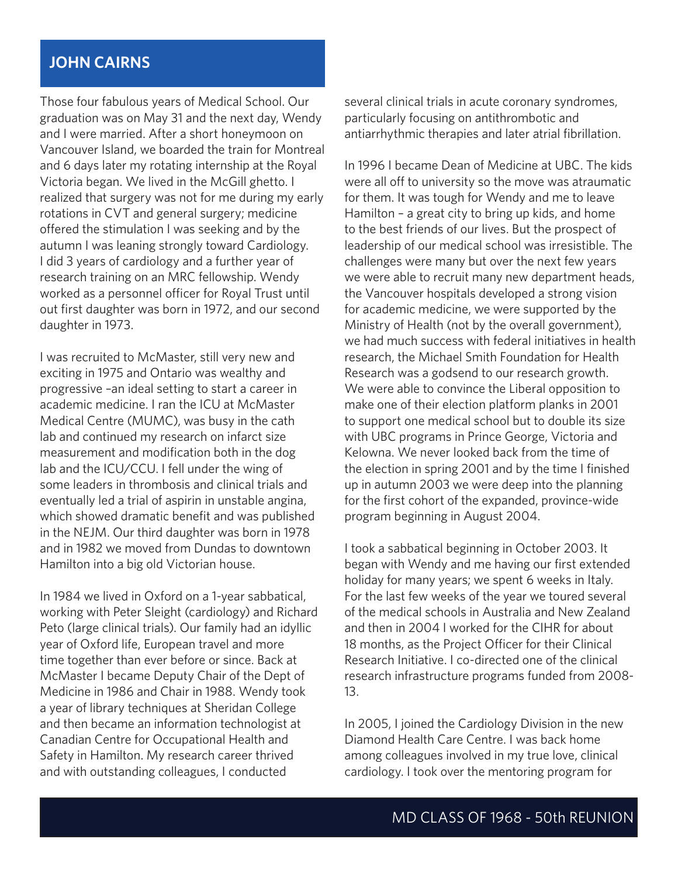## **JOHN CAIRNS**

Those four fabulous years of Medical School. Our graduation was on May 31 and the next day, Wendy and I were married. After a short honeymoon on Vancouver Island, we boarded the train for Montreal and 6 days later my rotating internship at the Royal Victoria began. We lived in the McGill ghetto. I realized that surgery was not for me during my early rotations in CVT and general surgery; medicine offered the stimulation I was seeking and by the autumn I was leaning strongly toward Cardiology. I did 3 years of cardiology and a further year of research training on an MRC fellowship. Wendy worked as a personnel officer for Royal Trust until out first daughter was born in 1972, and our second daughter in 1973.

I was recruited to McMaster, still very new and exciting in 1975 and Ontario was wealthy and progressive –an ideal setting to start a career in academic medicine. I ran the ICU at McMaster Medical Centre (MUMC), was busy in the cath lab and continued my research on infarct size measurement and modification both in the dog lab and the ICU/CCU. I fell under the wing of some leaders in thrombosis and clinical trials and eventually led a trial of aspirin in unstable angina, which showed dramatic benefit and was published in the NEJM. Our third daughter was born in 1978 and in 1982 we moved from Dundas to downtown Hamilton into a big old Victorian house.

In 1984 we lived in Oxford on a 1-year sabbatical, working with Peter Sleight (cardiology) and Richard Peto (large clinical trials). Our family had an idyllic year of Oxford life, European travel and more time together than ever before or since. Back at McMaster I became Deputy Chair of the Dept of Medicine in 1986 and Chair in 1988. Wendy took a year of library techniques at Sheridan College and then became an information technologist at Canadian Centre for Occupational Health and Safety in Hamilton. My research career thrived and with outstanding colleagues, I conducted

several clinical trials in acute coronary syndromes, particularly focusing on antithrombotic and antiarrhythmic therapies and later atrial fibrillation.

In 1996 I became Dean of Medicine at UBC. The kids were all off to university so the move was atraumatic for them. It was tough for Wendy and me to leave Hamilton – a great city to bring up kids, and home to the best friends of our lives. But the prospect of leadership of our medical school was irresistible. The challenges were many but over the next few years we were able to recruit many new department heads, the Vancouver hospitals developed a strong vision for academic medicine, we were supported by the Ministry of Health (not by the overall government), we had much success with federal initiatives in health research, the Michael Smith Foundation for Health Research was a godsend to our research growth. We were able to convince the Liberal opposition to make one of their election platform planks in 2001 to support one medical school but to double its size with UBC programs in Prince George, Victoria and Kelowna. We never looked back from the time of the election in spring 2001 and by the time I finished up in autumn 2003 we were deep into the planning for the first cohort of the expanded, province-wide program beginning in August 2004.

I took a sabbatical beginning in October 2003. It began with Wendy and me having our first extended holiday for many years; we spent 6 weeks in Italy. For the last few weeks of the year we toured several of the medical schools in Australia and New Zealand and then in 2004 I worked for the CIHR for about 18 months, as the Project Officer for their Clinical Research Initiative. I co-directed one of the clinical research infrastructure programs funded from 2008- 13.

In 2005, I joined the Cardiology Division in the new Diamond Health Care Centre. I was back home among colleagues involved in my true love, clinical cardiology. I took over the mentoring program for